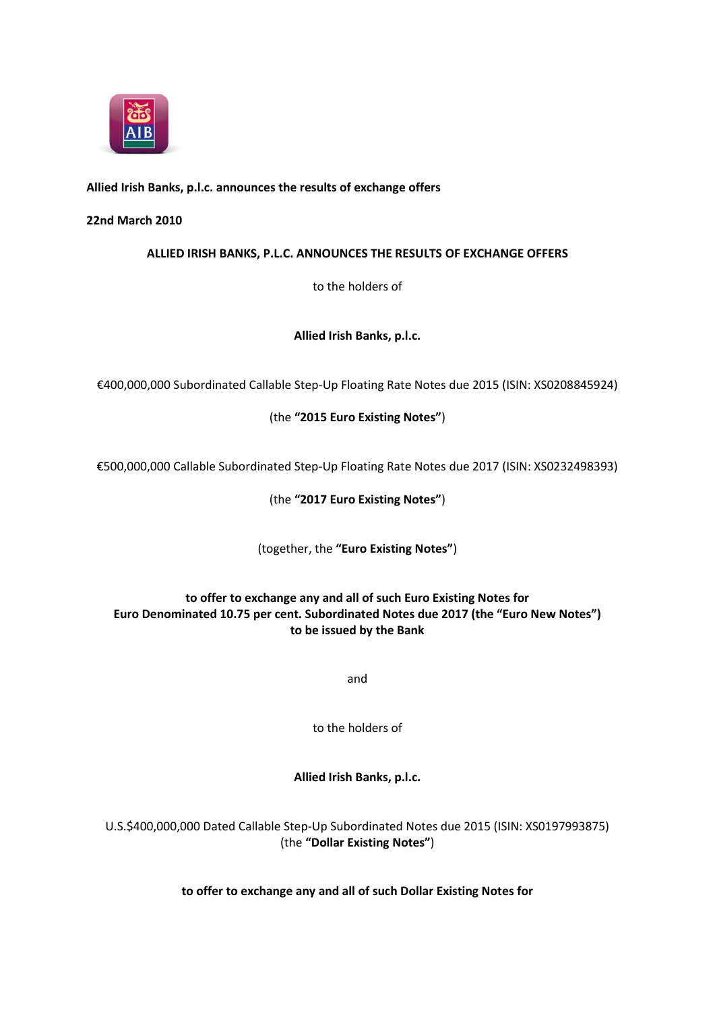

# **Allied Irish Banks, p.l.c. announces the results of exchange offers**

## **22nd March 2010**

**ALLIED IRISH BANKS, P.L.C. ANNOUNCES THE RESULTS OF EXCHANGE OFFERS**

to the holders of

**Allied Irish Banks, p.l.c.**

€400,000,000 Subordinated Callable Step-Up Floating Rate Notes due 2015 (ISIN: XS0208845924)

(the **"2015 Euro Existing Notes"**)

€500,000,000 Callable Subordinated Step-Up Floating Rate Notes due 2017 (ISIN: XS0232498393)

(the **"2017 Euro Existing Notes"**)

(together, the **"Euro Existing Notes"**)

# **to offer to exchange any and all of such Euro Existing Notes for Euro Denominated 10.75 per cent. Subordinated Notes due 2017 (the "Euro New Notes") to be issued by the Bank**

and

to the holders of

**Allied Irish Banks, p.l.c.**

U.S.\$400,000,000 Dated Callable Step-Up Subordinated Notes due 2015 (ISIN: XS0197993875) (the **"Dollar Existing Notes"**)

**to offer to exchange any and all of such Dollar Existing Notes for**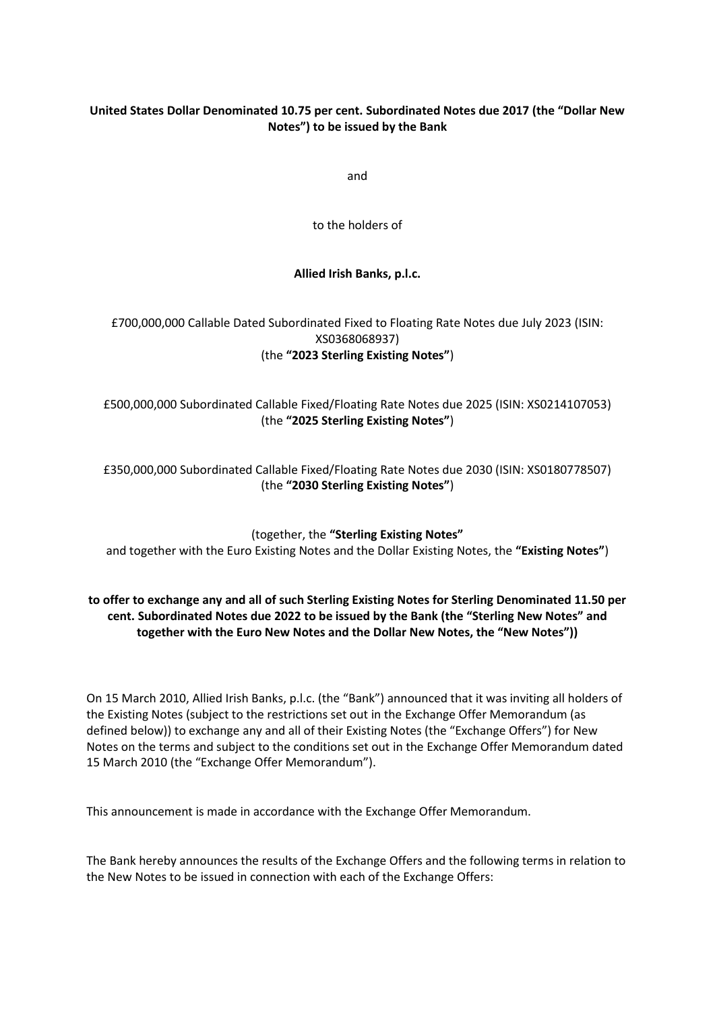# **United States Dollar Denominated 10.75 per cent. Subordinated Notes due 2017 (the "Dollar New Notes") to be issued by the Bank**

and

to the holders of

#### **Allied Irish Banks, p.l.c.**

# £700,000,000 Callable Dated Subordinated Fixed to Floating Rate Notes due July 2023 (ISIN: XS0368068937) (the **"2023 Sterling Existing Notes"**)

# £500,000,000 Subordinated Callable Fixed/Floating Rate Notes due 2025 (ISIN: XS0214107053) (the **"2025 Sterling Existing Notes"**)

£350,000,000 Subordinated Callable Fixed/Floating Rate Notes due 2030 (ISIN: XS0180778507) (the **"2030 Sterling Existing Notes"**)

(together, the **"Sterling Existing Notes"** and together with the Euro Existing Notes and the Dollar Existing Notes, the **"Existing Notes"**)

# **to offer to exchange any and all of such Sterling Existing Notes for Sterling Denominated 11.50 per cent. Subordinated Notes due 2022 to be issued by the Bank (the "Sterling New Notes" and together with the Euro New Notes and the Dollar New Notes, the "New Notes"))**

On 15 March 2010, Allied Irish Banks, p.l.c. (the "Bank") announced that it was inviting all holders of the Existing Notes (subject to the restrictions set out in the Exchange Offer Memorandum (as defined below)) to exchange any and all of their Existing Notes (the "Exchange Offers") for New Notes on the terms and subject to the conditions set out in the Exchange Offer Memorandum dated 15 March 2010 (the "Exchange Offer Memorandum").

This announcement is made in accordance with the Exchange Offer Memorandum.

The Bank hereby announces the results of the Exchange Offers and the following terms in relation to the New Notes to be issued in connection with each of the Exchange Offers: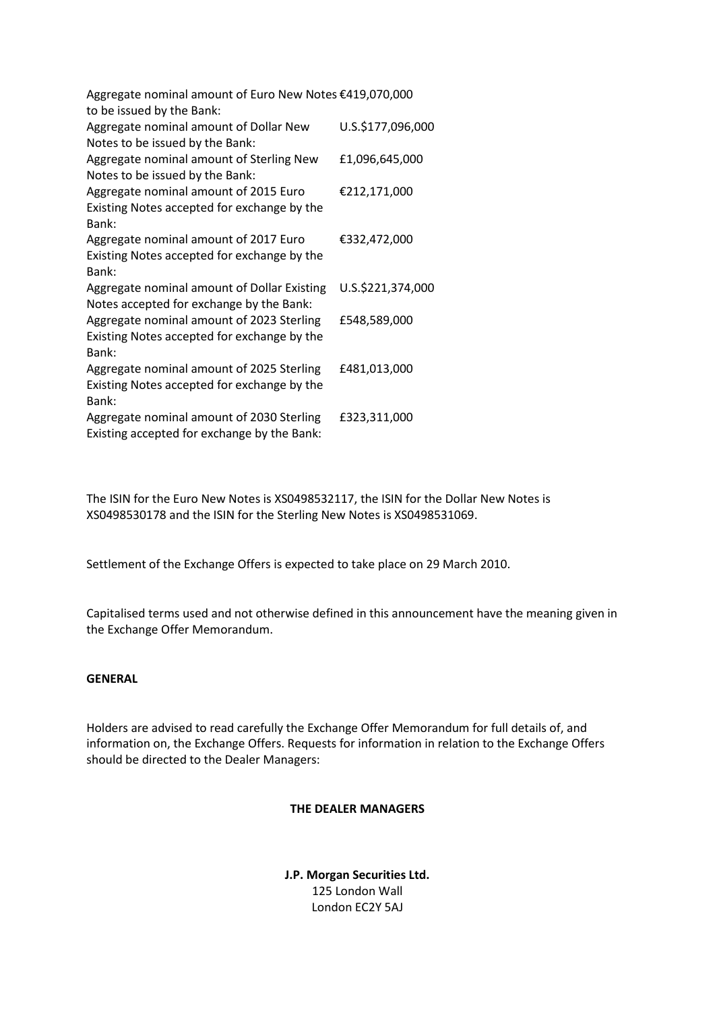| Aggregate nominal amount of Euro New Notes €419,070,000<br>to be issued by the Bank:              |                   |
|---------------------------------------------------------------------------------------------------|-------------------|
| Aggregate nominal amount of Dollar New<br>Notes to be issued by the Bank:                         | U.S.\$177,096,000 |
| Aggregate nominal amount of Sterling New<br>Notes to be issued by the Bank:                       | £1,096,645,000    |
| Aggregate nominal amount of 2015 Euro<br>Existing Notes accepted for exchange by the              | €212,171,000      |
| Bank:<br>Aggregate nominal amount of 2017 Euro<br>Existing Notes accepted for exchange by the     | €332,472,000      |
| Bank:                                                                                             |                   |
| Aggregate nominal amount of Dollar Existing<br>Notes accepted for exchange by the Bank:           | U.S.\$221,374,000 |
| Aggregate nominal amount of 2023 Sterling<br>Existing Notes accepted for exchange by the<br>Bank: | £548,589,000      |
| Aggregate nominal amount of 2025 Sterling<br>Existing Notes accepted for exchange by the          | £481,013,000      |
| Bank:<br>Aggregate nominal amount of 2030 Sterling<br>Existing accepted for exchange by the Bank: | £323,311,000      |

The ISIN for the Euro New Notes is XS0498532117, the ISIN for the Dollar New Notes is XS0498530178 and the ISIN for the Sterling New Notes is XS0498531069.

Settlement of the Exchange Offers is expected to take place on 29 March 2010.

Capitalised terms used and not otherwise defined in this announcement have the meaning given in the Exchange Offer Memorandum.

### **GENERAL**

Holders are advised to read carefully the Exchange Offer Memorandum for full details of, and information on, the Exchange Offers. Requests for information in relation to the Exchange Offers should be directed to the Dealer Managers:

#### **THE DEALER MANAGERS**

**J.P. Morgan Securities Ltd.** 125 London Wall London EC2Y 5AJ